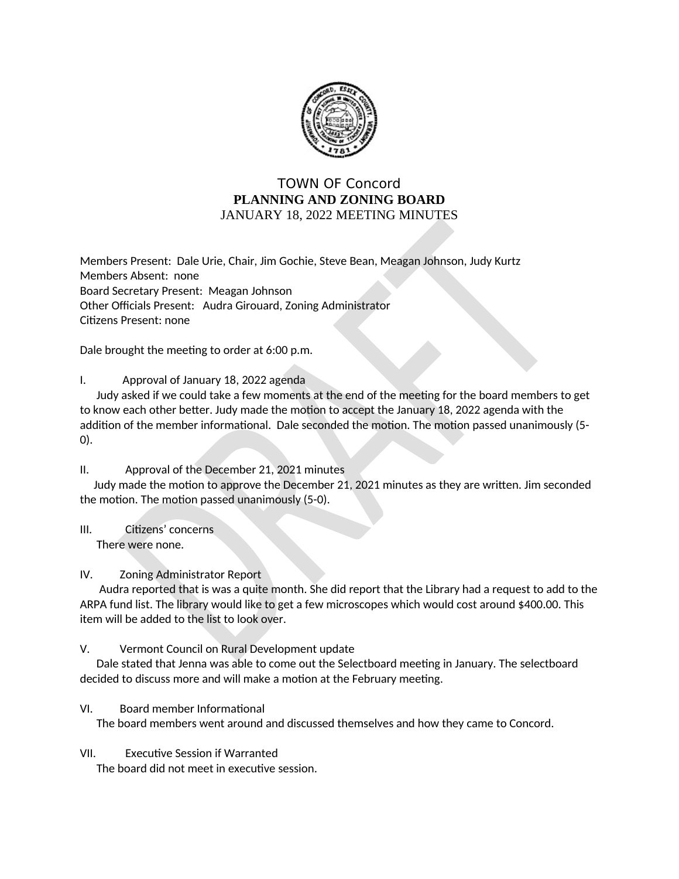

## **TOWN OF Concord** PLANNING AND ZONING BOARD JANUARY 18, 2022 MEETING MINUTES

Members Present: Dale Urie, Chair, Jim Gochie, Steve Bean, Meagan Johnson, Judy Kurtz Members Absent: none Board Secretary Present: Meagan Johnson Other Officials Present: Audra Girouard, Zoning Administrator Citizens Present: none

Dale brought the meeting to order at 6:00 p.m.

Ι. Approval of January 18, 2022 agenda

Judy asked if we could take a few moments at the end of the meeting for the board members to get to know each other better. Judy made the motion to accept the January 18, 2022 agenda with the addition of the member informational. Dale seconded the motion. The motion passed unanimously (5- $(0).$ 

## Approval of the December 21, 2021 minutes  $\Pi$ .

Judy made the motion to approve the December 21, 2021 minutes as they are written. Jim seconded the motion. The motion passed unanimously (5-0).

 $III.$ Citizens' concerns There were none.

## IV. **Zoning Administrator Report**

Audra reported that is was a quite month. She did report that the Library had a request to add to the ARPA fund list. The library would like to get a few microscopes which would cost around \$400.00. This item will be added to the list to look over.

## V. Vermont Council on Rural Development update

Dale stated that Jenna was able to come out the Selectboard meeting in January. The selectboard decided to discuss more and will make a motion at the February meeting.

VI. Board member Informational

The board members went around and discussed themselves and how they came to Concord.

VII. **Executive Session if Warranted** 

The board did not meet in executive session.